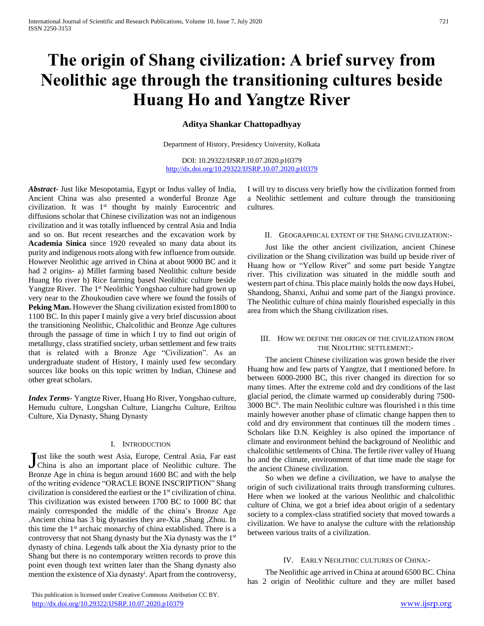# **The origin of Shang civilization: A brief survey from Neolithic age through the transitioning cultures beside Huang Ho and Yangtze River**

# **Aditya Shankar Chattopadhyay**

Department of History, Presidency University, Kolkata

DOI: 10.29322/IJSRP.10.07.2020.p10379 <http://dx.doi.org/10.29322/IJSRP.10.07.2020.p10379>

*Abstract***-** Just like Mesopotamia, Egypt or Indus valley of India, Ancient China was also presented a wonderful Bronze Age civilization. It was 1<sup>st</sup> thought by mainly Eurocentric and diffusions scholar that Chinese civilization was not an indigenous civilization and it was totally influenced by central Asia and India and so on. But recent researches and the excavation work by **Academia Sinica** since 1920 revealed so many data about its purity and indigenous roots along with few influence from outside. However Neolithic age arrived in China at about 9000 BC and it had 2 origins- a) Millet farming based Neolithic culture beside Huang Ho river b) Rice farming based Neolithic culture beside Yangtze River. The 1<sup>st</sup> Neolithic Yongshao culture had grown up very near to the Zhoukoudien cave where we found the fossils of **Peking Man.** However the Shang civilization existed from1800 to 1100 BC. In this paper I mainly give a very brief discussion about the transitioning Neolithic, Chalcolithic and Bronze Age cultures through the passage of time in which I try to find out origin of metallurgy, class stratified society, urban settlement and few traits that is related with a Bronze Age "Civilization". As an undergraduate student of History, I mainly used few secondary sources like books on this topic written by Indian, Chinese and other great scholars.

*Index Terms*- Yangtze River, Huang Ho River, Yongshao culture, Hemudu culture, Longshan Culture, Liangchu Culture, Eriltou Culture, Xia Dynasty, Shang Dynasty

#### I. INTRODUCTION

ust like the south west Asia, Europe, Central Asia, Far east Just like the south west Asia, Europe, Central Asia, Far east<br>China is also an important place of Neolithic culture. The Bronze Age in china is begun around 1600 BC and with the help of the writing evidence "ORACLE BONE INSCRIPTION" Shang civilization is considered the earliest or the  $1<sup>st</sup>$  civilization of china. This civilization was existed between 1700 BC to 1000 BC that mainly corresponded the middle of the china's Bronze Age .Ancient china has 3 big dynasties they are-Xia ,Shang ,Zhou. In this time the 1st archaic monarchy of china established. There is a controversy that not Shang dynasty but the Xia dynasty was the 1st dynasty of china. Legends talk about the Xia dynasty prior to the Shang but there is no contemporary written records to prove this point even though text written later than the Shang dynasty also mention the existence of Xia dynasty<sup>i</sup>. Apart from the controversy, I will try to discuss very briefly how the civilization formed from a Neolithic settlement and culture through the transitioning cultures.

#### II. GEOGRAPHICAL EXTENT OF THE SHANG CIVILIZATION:-

 Just like the other ancient civilization, ancient Chinese civilization or the Shang civilization was build up beside river of Huang how or "Yellow River" and some part beside Yangtze river. This civilization was situated in the middle south and western part of china. This place mainly holds the now days Hubei, Shandong, Shanxi, Anhui and some part of the Jiangxi province. The Neolithic culture of china mainly flourished especially in this area from which the Shang civilization rises.

### III. HOW WE DEFINE THE ORIGIN OF THE CIVILIZATION FROM THE NEOLITHIC SETTLEMENT:-

 The ancient Chinese civilization was grown beside the river Huang how and few parts of Yangtze, that I mentioned before. In between 6000-2000 BC, this river changed its direction for so many times. After the extreme cold and dry conditions of the last glacial period, the climate warmed up considerably during 7500- 3000 BCii. The main Neolithic culture was flourished i n this time mainly however another phase of climatic change happen then to cold and dry environment that continues till the modern times . Scholars like D.N. Keighley is also opined the importance of climate and environment behind the background of Neolithic and chalcolithic settlements of China. The fertile river valley of Huang ho and the climate, environment of that time made the stage for the ancient Chinese civilization.

 So when we define a civilization, we have to analyse the origin of such civilizational traits through transforming cultures. Here when we looked at the various Neolithic and chalcolithic culture of China, we got a brief idea about origin of a sedentary society to a complex-class stratified society that moved towards a civilization. We have to analyse the culture with the relationship between various traits of a civilization.

### IV. EARLY NEOLITHIC CULTURES OF CHINA:-

 The Neolithic age arrived in China at around 6500 BC. China has 2 origin of Neolithic culture and they are millet based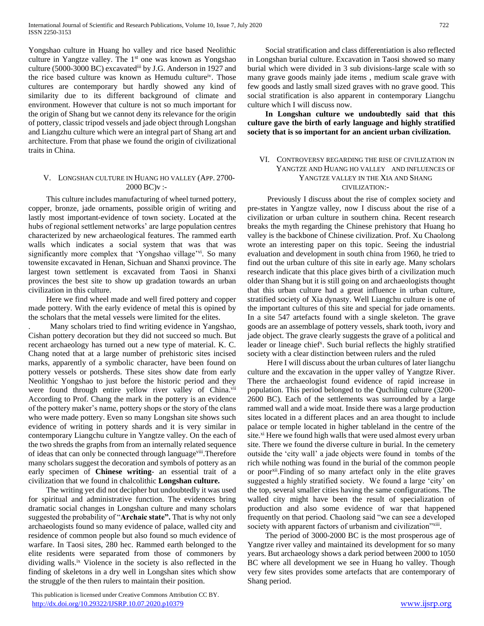Yongshao culture in Huang ho valley and rice based Neolithic culture in Yangtze valley. The  $1<sup>st</sup>$  one was known as Yongshao culture (5000-3000 BC) excavatediii by J.G. Anderson in 1927 and the rice based culture was known as Hemudu cultureiv. Those cultures are contemporary but hardly showed any kind of similarity due to its different background of climate and environment. However that culture is not so much important for the origin of Shang but we cannot deny its relevance for the origin of pottery, classic tripod vessels and jade object through Longshan and Liangzhu culture which were an integral part of Shang art and architecture. From that phase we found the origin of civilizational traits in China.

## V. LONGSHAN CULTURE IN HUANG HO VALLEY (APP. 2700-  $2000$  BC) $v$  :-

 This culture includes manufacturing of wheel turned pottery, copper, bronze, jade ornaments, possible origin of writing and lastly most important-evidence of town society. Located at the hubs of regional settlement networks' are large population centres characterized by new archaeological features. The rammed earth walls which indicates a social system that was that was significantly more complex that 'Yongshao village'<sup>vi</sup>. So many towensite excavated in Henan, Sichuan and Shanxi province. The largest town settlement is excavated from Taosi in Shanxi provinces the best site to show up gradation towards an urban civilization in this culture.

 Here we find wheel made and well fired pottery and copper made pottery. With the early evidence of metal this is opined by the scholars that the metal vessels were limited for the elites.

. Many scholars tried to find writing evidence in Yangshao, Cishan pottery decoration but they did not succeed so much. But recent archaeology has turned out a new type of material. K. C. Chang noted that at a large number of prehistoric sites incised marks, apparently of a symbolic character, have been found on pottery vessels or potsherds. These sites show date from early Neolithic Yongshao to just before the historic period and they were found through entire yellow river valley of China.<sup>vii</sup> According to Prof. Chang the mark in the pottery is an evidence of the pottery maker's name, pottery shops or the story of the clans who were made pottery. Even so many Longshan site shows such evidence of writing in pottery shards and it is very similar in contemporary Liangchu culture in Yangtze valley. On the each of the two shreds the graphs from from an internally related sequence of ideas that can only be connected through languageviii.Therefore many scholars suggest the decoration and symbols of pottery as an early specimen of **Chinese writing**- an essential trait of a civilization that we found in chalcolithic **Longshan culture.**

 The writing yet did not decipher but undoubtedly it was used for spiritual and administrative function. The evidences bring dramatic social changes in Longshan culture and many scholars suggested the probability of "**Archaic state".** That is why not only archaeologists found so many evidence of palace, walled city and residence of common people but also found so much evidence of warfare. In Taosi sites, 280 hec. Rammed earth belonged to the elite residents were separated from those of commoners by dividing walls.ix Violence in the society is also reflected in the finding of skeletons in a dry well in Longshan sites which show the struggle of the then rulers to maintain their position.

 This publication is licensed under Creative Commons Attribution CC BY. <http://dx.doi.org/10.29322/IJSRP.10.07.2020.p10379> [www.ijsrp.org](http://ijsrp.org/)

 Social stratification and class differentiation is also reflected in Longshan burial culture. Excavation in Taosi showed so many burial which were divided in 3 sub divisions-large scale with so many grave goods mainly jade items , medium scale grave with few goods and lastly small sized graves with no grave good. This social stratification is also apparent in contemporary Liangchu culture which I will discuss now.

 **In Longshan culture we undoubtedly said that this culture gave the birth of early language and highly stratified society that is so important for an ancient urban civilization.**

# VI. CONTROVERSY REGARDING THE RISE OF CIVILIZATION IN YANGTZE AND HUANG HO VALLEY AND INFLUENCES OF YANGTZE VALLEY IN THE XIA AND SHANG CIVILIZATION:-

 Previously I discuss about the rise of complex society and pre-states in Yangtze valley, now I discuss about the rise of a civilization or urban culture in southern china. Recent research breaks the myth regarding the Chinese prehistory that Huang ho valley is the backbone of Chinese civilization. Prof. Xu Chaolong wrote an interesting paper on this topic. Seeing the industrial evaluation and development in south china from 1960, he tried to find out the urban culture of this site in early age. Many scholars research indicate that this place gives birth of a civilization much older than Shang but it is still going on and archaeologists thought that this urban culture had a great influence in urban culture, stratified society of Xia dynasty. Well Liangchu culture is one of the important cultures of this site and special for jade ornaments. In a site 547 artefacts found with a single skeleton. The grave goods are an assemblage of pottery vessels, shark tooth, ivory and jade object. The grave clearly suggests the grave of a political and leader or lineage chief<sup>x</sup>. Such burial reflects the highly stratified society with a clear distinction between rulers and the ruled

 Here I will discuss about the urban cultures of later liangchu culture and the excavation in the upper valley of Yangtze River. There the archaeologist found evidence of rapid increase in population. This period belonged to the Quchiling culture (3200- 2600 BC). Each of the settlements was surrounded by a large rammed wall and a wide moat. Inside there was a large production sites located in a different places and an area thought to include palace or temple located in higher tableland in the centre of the site.<sup>xi</sup> Here we found high walls that were used almost every urban site. There we found the diverse culture in burial. In the cemetery outside the 'city wall' a jade objects were found in tombs of the rich while nothing was found in the burial of the common people or poor<sup>xii</sup>.Finding of so many artefact only in the elite graves suggested a highly stratified society. We found a large 'city' on the top, several smaller cities having the same configurations. The walled city might have been the result of specialization of production and also some evidence of war that happened frequently on that period. Chaolong said "we can see a developed society with apparent factors of urbanism and civilization"xiii.

 The period of 3000-2000 BC is the most prosperous age of Yangtze river valley and maintained its development for so many years. But archaeology shows a dark period between 2000 to 1050 BC where all development we see in Huang ho valley. Though very few sites provides some artefacts that are contemporary of Shang period.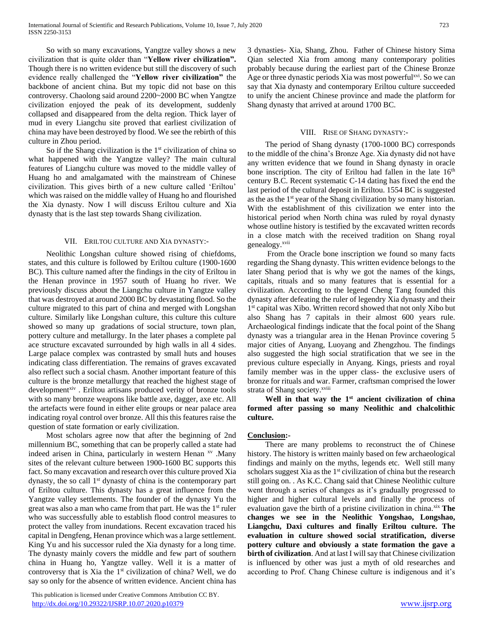So with so many excavations, Yangtze valley shows a new civilization that is quite older than "**Yellow river civilization".**  Though there is no written evidence but still the discovery of such evidence really challenged the "**Yellow river civilization"** the backbone of ancient china. But my topic did not base on this controversy. Chaolong said around 2200~2000 BC when Yangtze civilization enjoyed the peak of its development, suddenly collapsed and disappeared from the delta region. Thick layer of mud in every Liangchu site proved that earliest civilization of china may have been destroyed by flood. We see the rebirth of this culture in Zhou period.

So if the Shang civilization is the  $1<sup>st</sup>$  civilization of china so what happened with the Yangtze valley? The main cultural features of Liangchu culture was moved to the middle valley of Huang ho and amalgamated with the mainstream of Chinese civilization. This gives birth of a new culture called 'Eriltou' which was raised on the middle valley of Huang ho and flourished the Xia dynasty. Now I will discuss Eriltou culture and Xia dynasty that is the last step towards Shang civilization.

#### VII. ERILTOU CULTURE AND XIA DYNASTY:-

 Neolithic Longshan culture showed rising of chiefdoms, states, and this culture is followed by Eriltou culture (1900-1600 BC). This culture named after the findings in the city of Eriltou in the Henan province in 1957 south of Huang ho river. We previously discuss about the Liangchu culture in Yangtze valley that was destroyed at around 2000 BC by devastating flood. So the culture migrated to this part of china and merged with Longshan culture. Similarly like Longshan culture, this culture this culture showed so many up gradations of social structure, town plan, pottery culture and metallurgy. In the later phases a complete pal ace structure excavated surrounded by high walls in all 4 sides. Large palace complex was contrasted by small huts and houses indicating class differentiation. The remains of graves excavated also reflect such a social chasm. Another important feature of this culture is the bronze metallurgy that reached the highest stage of development<sup>xiv</sup>. Eriltou artisans produced verity of bronze tools with so many bronze weapons like battle axe, dagger, axe etc. All the artefacts were found in either elite groups or near palace area indicating royal control over bronze. All this this features raise the question of state formation or early civilization.

 Most scholars agree now that after the beginning of 2nd millennium BC, something that can be properly called a state had indeed arisen in China, particularly in western Henan xv .Many sites of the relevant culture between 1900-1600 BC supports this fact. So many excavation and research over this culture proved Xia dynasty, the so call 1st dynasty of china is the contemporary part of Eriltou culture. This dynasty has a great influence from the Yangtze valley settlements. The founder of the dynasty Yu the great was also a man who came from that part. He was the 1<sup>st</sup> ruler who was successfully able to establish flood control measures to protect the valley from inundations. Recent excavation traced his capital in Dengfeng, Henan province which was a large settlement. King Yu and his successor ruled the Xia dynasty for a long time. The dynasty mainly covers the middle and few part of southern china in Huang ho, Yangtze valley. Well it is a matter of controversy that is Xia the 1st civilization of china? Well, we do say so only for the absence of written evidence. Ancient china has

 This publication is licensed under Creative Commons Attribution CC BY. <http://dx.doi.org/10.29322/IJSRP.10.07.2020.p10379> [www.ijsrp.org](http://ijsrp.org/)

3 dynasties- Xia, Shang, Zhou. Father of Chinese history Sima Qian selected Xia from among many contemporary polities probably because during the earliest part of the Chinese Bronze Age or three dynastic periods Xia was most powerful<sup>xvi</sup>. So we can say that Xia dynasty and contemporary Eriltou culture succeeded to unify the ancient Chinese province and made the platform for Shang dynasty that arrived at around 1700 BC.

# VIII. RISE OF SHANG DYNASTY:-

 The period of Shang dynasty (1700-1000 BC) corresponds to the middle of the china's Bronze Age. Xia dynasty did not have any written evidence that we found in Shang dynasty in oracle bone inscription. The city of Eriltou had fallen in the late  $16<sup>th</sup>$ century B.C. Recent systematic C-14 dating has fixed the end the last period of the cultural deposit in Eriltou. 1554 BC is suggested as the as the 1st year of the Shang civilization by so many historian. With the establishment of this civilization we enter into the historical period when North china was ruled by royal dynasty whose outline history is testified by the excavated written records in a close match with the received tradition on Shang royal genealogy.xvii

 From the Oracle bone inscription we found so many facts regarding the Shang dynasty. This written evidence belongs to the later Shang period that is why we got the names of the kings, capitals, rituals and so many features that is essential for a civilization. According to the legend Cheng Tang founded this dynasty after defeating the ruler of legendry Xia dynasty and their 1 st capital was Xibo. Written record showed that not only Xibo but also Shang has 7 capitals in their almost 600 years rule. Archaeological findings indicate that the focal point of the Shang dynasty was a triangular area in the Henan Province covering 5 major cities of Anyang, Luoyang and Zhengzhou. The findings also suggested the high social stratification that we see in the previous culture especially in Anyang. Kings, priests and royal family member was in the upper class- the exclusive users of bronze for rituals and war. Farmer, craftsman comprised the lower strata of Shang society.<sup>xviii</sup>

 **Well in that way the 1st ancient civilization of china formed after passing so many Neolithic and chalcolithic culture.**

# **Conclusion:-**

 There are many problems to reconstruct the of Chinese history. The history is written mainly based on few archaeological findings and mainly on the myths, legends etc. Well still many scholars suggest Xia as the  $1<sup>st</sup>$  civilization of china but the research still going on. . As K.C. Chang said that Chinese Neolithic culture went through a series of changes as it's gradually progressed to higher and higher cultural levels and finally the process of evaluation gave the birth of a pristine civilization in china.<sup>xix</sup> The **changes we see in the Neolithic Yongshao, Longshao, Liangchu, Daxi cultures and finally Eriltou culture. The evaluation in culture showed social stratification, diverse pottery culture and obviously a state formation the gave a birth of civilization**. And at last I will say that Chinese civilization is influenced by other was just a myth of old researches and according to Prof. Chang Chinese culture is indigenous and it's